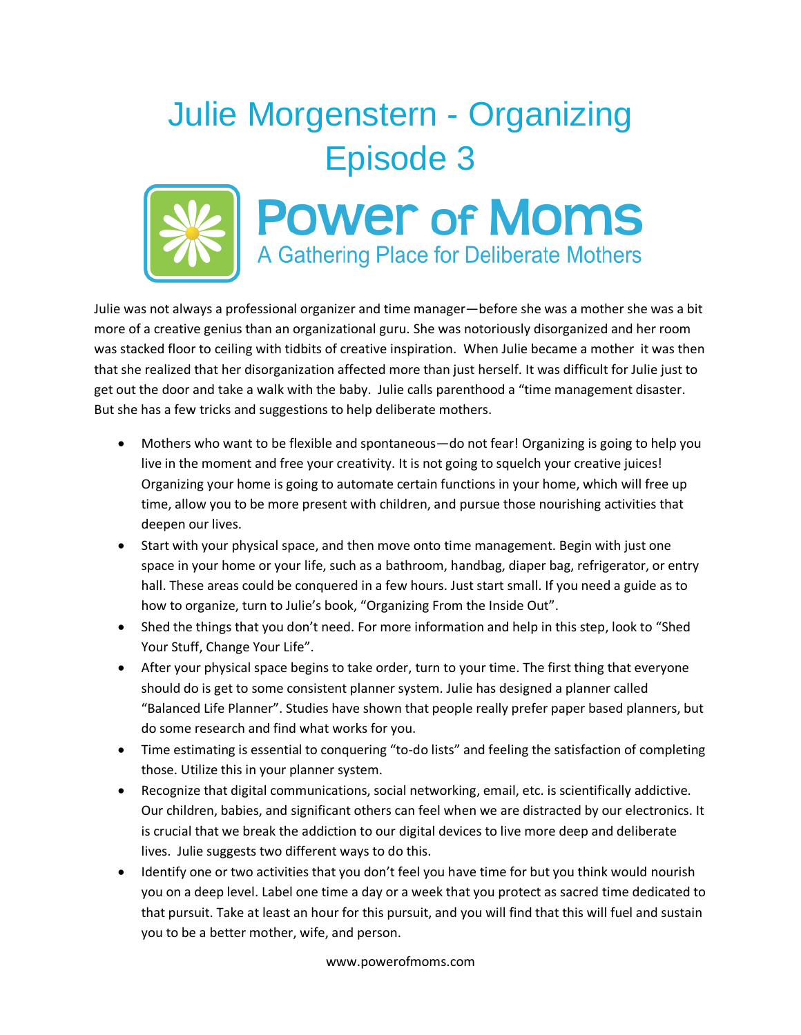## Julie Morgenstern - Organizing Episode 3



## **POWER of MOMS** A Gathering Place for Deliberate Mothers

Julie was not always a professional organizer and time manager—before she was a mother she was a bit more of a creative genius than an organizational guru. She was notoriously disorganized and her room was stacked floor to ceiling with tidbits of creative inspiration. When Julie became a mother it was then that she realized that her disorganization affected more than just herself. It was difficult for Julie just to get out the door and take a walk with the baby. Julie calls parenthood a "time management disaster. But she has a few tricks and suggestions to help deliberate mothers.

- Mothers who want to be flexible and spontaneous—do not fear! Organizing is going to help you live in the moment and free your creativity. It is not going to squelch your creative juices! Organizing your home is going to automate certain functions in your home, which will free up time, allow you to be more present with children, and pursue those nourishing activities that deepen our lives.
- Start with your physical space, and then move onto time management. Begin with just one space in your home or your life, such as a bathroom, handbag, diaper bag, refrigerator, or entry hall. These areas could be conquered in a few hours. Just start small. If you need a guide as to how to organize, turn to Julie's book, "Organizing From the Inside Out".
- Shed the things that you don't need. For more information and help in this step, look to "Shed Your Stuff, Change Your Life".
- After your physical space begins to take order, turn to your time. The first thing that everyone should do is get to some consistent planner system. Julie has designed a planner called "Balanced Life Planner". Studies have shown that people really prefer paper based planners, but do some research and find what works for you.
- Time estimating is essential to conquering "to-do lists" and feeling the satisfaction of completing those. Utilize this in your planner system.
- Recognize that digital communications, social networking, email, etc. is scientifically addictive. Our children, babies, and significant others can feel when we are distracted by our electronics. It is crucial that we break the addiction to our digital devices to live more deep and deliberate lives. Julie suggests two different ways to do this.
- Identify one or two activities that you don't feel you have time for but you think would nourish you on a deep level. Label one time a day or a week that you protect as sacred time dedicated to that pursuit. Take at least an hour for this pursuit, and you will find that this will fuel and sustain you to be a better mother, wife, and person.

www.powerofmoms.com